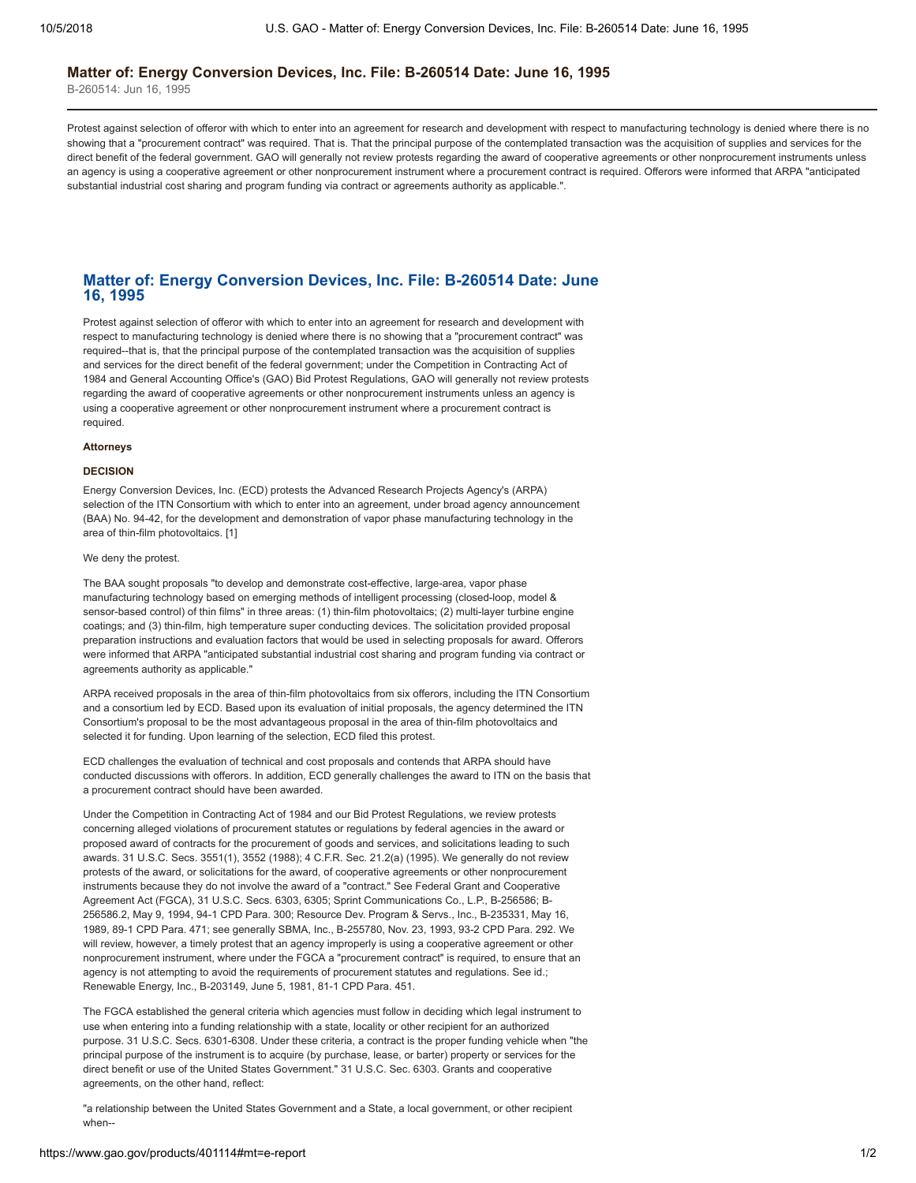#### **Matter of: Energy Conversion Devices, Inc. File: B-260514 Date: June 16, 1995**

B-260514: Jun 16, 1995

Protest against selection of offeror with which to enter into an agreement for research and development with respect to manufacturing technology is denied where there is no showing that a "procurement contract" was required. That is. That the principal purpose of the contemplated transaction was the acquisition of supplies and services for the direct benefit of the federal government. GAO will generally not review protests regarding the award of cooperative agreements or other nonprocurement instruments unless an agency is using a cooperative agreement or other nonprocurement instrument where a procurement contract is required. Offerors were informed that ARPA "anticipated substantial industrial cost sharing and program funding via contract or agreements authority as applicable.".

## **Matter of: Energy Conversion Devices, Inc. File: B-260514 Date: June 16, 1995**

Protest against selection of offeror with which to enter into an agreement for research and development with respect to manufacturing technology is denied where there is no showing that a "procurement contract" was required--that is, that the principal purpose of the contemplated transaction was the acquisition of supplies and services for the direct benefit of the federal government; under the Competition in Contracting Act of 1984 and General Accounting Office's (GAO) Bid Protest Regulations, GAO will generally not review protests regarding the award of cooperative agreements or other nonprocurement instruments unless an agency is using a cooperative agreement or other nonprocurement instrument where a procurement contract is required.

# **Attorneys**

## **DECISION**

Energy Conversion Devices, Inc. (ECD) protests the Advanced Research Projects Agency's (ARPA) selection of the ITN Consortium with which to enter into an agreement, under broad agency announcement (BAA) No. 94-42, for the development and demonstration of vapor phase manufacturing technology in the area of thin-film photovoltaics. [1]

#### We deny the protest.

The BAA sought proposals "to develop and demonstrate cost-effective, large-area, vapor phase manufacturing technology based on emerging methods of intelligent processing (closed-loop, model & sensor-based control) of thin films" in three areas: (1) thin-film photovoltaics; (2) multi-layer turbine engine coatings; and (3) thin-film, high temperature super conducting devices. The solicitation provided proposal preparation instructions and evaluation factors that would be used in selecting proposals for award. Offerors were informed that ARPA "anticipated substantial industrial cost sharing and program funding via contract or agreements authority as applicable."

ARPA received proposals in the area of thin-film photovoltaics from six offerors, including the ITN Consortium and a consortium led by ECD. Based upon its evaluation of initial proposals, the agency determined the ITN Consortium's proposal to be the most advantageous proposal in the area of thin-film photovoltaics and selected it for funding. Upon learning of the selection, ECD filed this protest.

ECD challenges the evaluation of technical and cost proposals and contends that ARPA should have conducted discussions with offerors. In addition, ECD generally challenges the award to ITN on the basis that a procurement contract should have been awarded.

Under the Competition in Contracting Act of 1984 and our Bid Protest Regulations, we review protests concerning alleged violations of procurement statutes or regulations by federal agencies in the award or proposed award of contracts for the procurement of goods and services, and solicitations leading to such awards. 31 U.S.C. Secs. 3551(1), 3552 (1988); 4 C.F.R. Sec. 21.2(a) (1995). We generally do not review protests of the award, or solicitations for the award, of cooperative agreements or other nonprocurement instruments because they do not involve the award of a "contract." See Federal Grant and Cooperative Agreement Act (FGCA), 31 U.S.C. Secs. 6303, 6305; Sprint Communications Co., L.P., B-256586; B-256586.2, May 9, 1994, 94-1 CPD Para. 300; Resource Dev. Program & Servs., Inc., B-235331, May 16, 1989, 89-1 CPD Para. 471; see generally SBMA, Inc., B-255780, Nov. 23, 1993, 93-2 CPD Para. 292. We will review, however, a timely protest that an agency improperly is using a cooperative agreement or other nonprocurement instrument, where under the FGCA a "procurement contract" is required, to ensure that an agency is not attempting to avoid the requirements of procurement statutes and regulations. See id.; Renewable Energy, Inc., B-203149, June 5, 1981, 81-1 CPD Para. 451.

The FGCA established the general criteria which agencies must follow in deciding which legal instrument to use when entering into a funding relationship with a state, locality or other recipient for an authorized purpose. 31 U.S.C. Secs. 6301-6308. Under these criteria, a contract is the proper funding vehicle when "the principal purpose of the instrument is to acquire (by purchase, lease, or barter) property or services for the direct benefit or use of the United States Government." 31 U.S.C. Sec. 6303. Grants and cooperative agreements, on the other hand, reflect:

"a relationship between the United States Government and a State, a local government, or other recipient when--